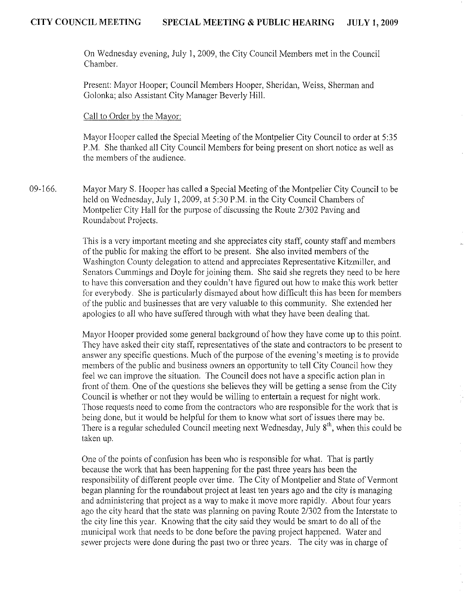On Wednesday evening, July 1,2009, the City Council Members met in the Council Chamber.

Present: Mayor Hooper; Council Members Hooper, Sheridan, Weiss, Sherman and Golonka; also Assistant City Manager Beverly Hill.

## Call to Order by the Mayor:

Mayor Hooper called the Special Meeting of the Montpelier City Council to order at 5:35 P.M. She thanked all City Council Members for being present on short notice as well as the members of the audience.

09-166. Mayor Mary S. Hooper has called a Special Meeting of the Montpelier City Council to be held on Wednesday, July 1,2009, at 5:30 P.M. in the City Council Chambers of Montpelier City Hall for the purpose of discussing the Route *21302* Paving and Roundabout Projects.

> This is a very important meeting and she appreciates city staff, county staff and members of the public for making the effort to be present. She also invited members of the Washington County delegation to attend and appreciates Representative Kitzmiller, and Senators Cummings and Doyle for joining them. She said she regrets they need to be here to have this conversation and they couldn't have figured out how to make this work better for everybody. She is particularly dismayed about how difficult this has been for members of the public and businesses that are very valuable to this community. She extended her apologies to all who have suffered through with what they have been dealing that.

> Mayor Hooper provided some general background of how they have come up to this point. They have asked their city staff, representatives of the state and contractors to be present to answer any specific questions. Much of the purpose of the evening's meeting is to provide members of the public and business owners an opportunity to tell City Council how they feel we can improve the situation. The Council docs not have a specific action plan in front of them. One of the questions she believes they will be getting a sense from the City Council is whether or not they would be willing to entertain a request for night work. Those requests need to come from the contractors who are responsible for the work that is being done, but it would be helpful for them to know what sort of issues there may be. There is a regular scheduled Council meeting next Wednesday, July 8<sup>th</sup>, when this could be taken up.

One of the points of confusion has been who is responsible for what. That is partly because the work that has been happening for the past three years has been the responsibility of different people over time. The City of Montpelier and State of Vermont began planning for the roundabout project at least ten years ago and the city is managing and administering that project as a way to make it move more rapidly. About four years ago the city heard that the state was planning on paving Route *2/302* from the Interstate to the city line this year. Knowing that the city said they would be smart to do all of the municipal work that nceds to be done before the paving project happened. Water and sewer projects were done during the past two or three years. The city was in charge of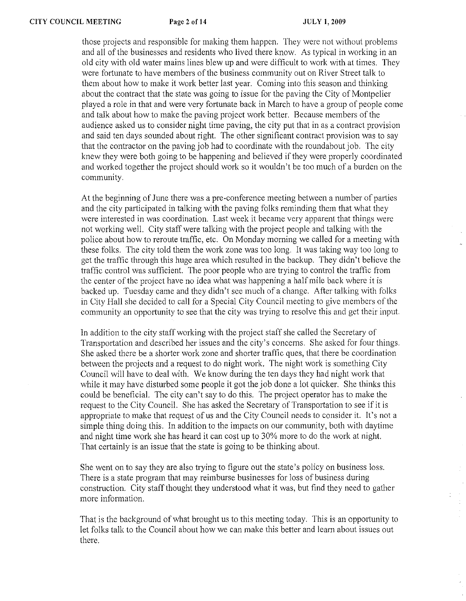those projects and responsible for making them happen. They were not without problems and all of the businesses and residents who lived there know. As typical in working in an old city with old water mains lines blew up and were difficult to work with at times. They were fortunate to have members of the business community out on River Street talk to them about how to make it work better last year. Coming into this season and thinking about the contract that the state was going to issue for the paving the City of Montpelier played a role in that and were very fortunate back in March to have a group of people come and talk about how to make the paving project work better. Because members of the audience asked us to consider night time paving, the city put that in as a contract provision and said ten days sounded about right. The other significant contract provision was to say that the contractor on the paving job had to coordinate with the roundabout job. The city knew they were both going to be happening and believed if they were properly coordinated and worked together the project should work so it wouldn't be too much of a burden on the community.

At the beginning of June there was a pre-conference meeting between a number of parties and the city participated in talking with the paving folks reminding them that what they were interested in was coordination. Last week it became very apparent that things were not working well. City staff were talking with the project people and talking with the police about how to reroute traffic, etc. On Monday morning we called for a meeting with these folks. The city told them the work zone was too long. It was taking way too long to get the traffic through this huge area which resulted in the backup. They didn't believe the traffic control was sufficient. The poor people who are trying to control the traffic from the center of the project have no idea what was happening a half mile back where it is backed up. Tuesday came and they didn't sec much of a changc. After talking with folks in City Hall she decided to call for a Special City Council meeting to give members of the community an opportunity to see that the city was trying to resolve this and get their input.

In addition to the city staff working with the project staff she called the Secretary of Transportation and described her issues and the city's concerns. She asked for four things. She asked there be a shorter work zone and shorter traffic ques, that there be coordination between the projects and a request to do night work. The night work is something City Council will have to deal with. We know during the ten days they had night work that while it may have disturbed some people it got the job done a lot quicker. She thinks this could be beneficial. The city can't say to do this. The project operator has to make the request to the City Council. She has asked the Secretary of Transportation to see if it is appropriate to make that request of us and the City Council needs to consider it. It's not a simple thing doing this. In addition to the impacts on our community, both with daytime and night time work she has heard it can cost up to 30% more to do the work at night. That certainly is an issue that the state is going to be thinking about.

She went on to say they are also trying to figure out the state's policy on business loss. There is a state program that may reimburse businesses for loss of business during construction. City staff thought they understood what it was, but find they need to gather more information.

That is the background of what brought us to this meeting today. This is an opportunity to let folks talk to the Council about how we can make this better and learn about issues out there.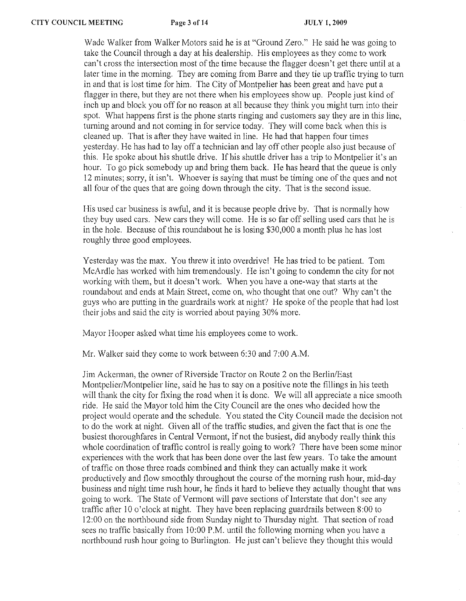Wade Walker from Walker Motors said he is at "Ground Zero." He said he was going to take the Council through a day at his dealership. His employees as they come to work can't cross the intersection most of the time because the flagger doesn't get there until at a later time in the morning. They are coming from Barre and they tie up traffic trying to turn in and that is lost time for him. The City of Montpelier has been great and have put a flagger in there, but they are not there when his employees show up. People just kind of inch up and block you off for no reason at all because they think you might turn into their spot. What happens first is the phone starts ringing and customers say they are in this line, turning around and not coming in for service today. They will come back when this is cleaned up. That is after they have waited in line. He had that happen four times yesterday. He has had to layoff a technician and layoff other people also just because of this. He spoke about his shuttle drive. If his shuttle driver has a trip to Montpelier it's an hour. To go pick somebody up and bring them back. He has heard that the queue is only 12 minutes; sorry, it isn't. Whoever is saying that must be timing one of the ques and not all four of the ques that are going down through the city. That is the second issue.

His used car business is awful, and it is because people drive by. That is normally how they buy used cars. New cars they will come. He is so far off selling used cars that he is in the hole. Because of this roundabout he is losing \$30,000 a month plus he has lost roughly three good employees.

Yesterday was the max. You threw it into overdrive! He has tried to be patient. Tom McArdle has worked with him tremendously. He isn't going to condemn the city for not working with them, but it doesn't work. When you have a one-way that statts at the roundabout and ends at Main Street, come on, who thought that one out? Why can't the guys who are putting in the guardrails work at night? He spoke of the people that had lost their jobs and said the city is worried about paying 30% more.

Mayor Hooper asked what time his employees come to work.

Mr. Walker said they come to work between 6:30 and 7:00 A.M.

Jim Ackerman, the owner of Riverside Tractor on Route 2 on the Berlin/East Montpelier/Montpelier line, said he has to say on a positive note the fillings in his teeth will thank the city for fixing the road when it is done. We will all appreciate a nice smooth ride. He said the Mayor told him the City Council are the ones who decided how the project would operate and the schedule. You stated the City Council made the decision not to do the work at night. Given all of the traffic studies, and given the fact that is one the busiest thoroughfares in Central Vermont, if not the busiest, did anybody really think this whole coordination of traffic control is really going to work? There have been some minor experiences with the work that has been done over the last few years. To take the amount of traffic on those three roads combined and think they can actually make it work productively and flow smoothly throughout the course of the morning rush hour, mid-day business and night time rush hour, he finds it hard to believe they actually thought that was going to work. The State of Vermont will pave sections of Interstate that don't see any traffic after 10 o'clock at night. They have been replacing guardrails between 8:00 to 12:00 on the northbound side from Sunday night to Thursday night. That section of road sees no traffic basically from 10:00 P.M. until the following morning when you have a northbound rush hour going to Burlington. He just can't believe they thought this would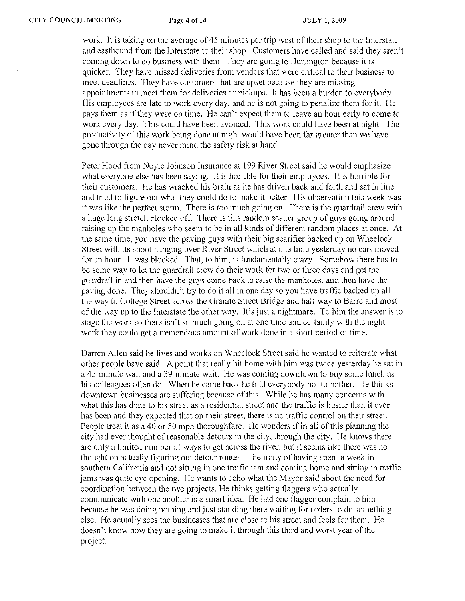work. It is taking on the average of 45 minutes per trip west of their shop to the Interstate and eastbound from the Interstate to their shop. Customers have called and said they aren't coming down to do business with them. They are going to Burlington because it is quicker. They have missed deliveries from vendors that were critical to their business to meet deadlines. They have customers that are upset because they are missing appointments to meet them for deliveries or pickups. It has been a burden to everybody. His employees are late to work every day, and he is not going to penalize them for it. He pays them as if they were on time. He can't expect them to leave an hour early to come to work every day. This could have been avoided. This work could have been at night. The productivity of this work being done at night would have been far greater than we have gone through the day never mind the safety risk at hand

Peter Hood from Noyle Johnson Insurance at 199 River Street said he would emphasize what everyone else has been saying. It is horrible for their employees. It is horrible for their customers. He has wracked his brain as he has driven back and forth and sat in line and tried to figure out what they could do to make it better. His observation this week was it was like the perfect storm. There is too much going on. There is the guardrail crew with a huge long stretch blocked off. There is this random scatter group of guys going around raising up the manholes who seem to be in all kinds of different random places at once. At the same time, you have the paving guys with their big scarifier backed up on Wheelock Street with its snoot hanging over River Street which at one time yesterday no cars moved for an hour. It was blocked. That, to him, is fundamentally crazy. Somehow there has to be some way to let the guardrail crew do their work for two or three days and get the guardrail in and then have the guys come back to raise the manholes, and then have the paving done. They shouldn't try to do it all in one day so you have traffic backed up all the way to College Street across the Granite Street Bridge and hail' way to Barre and most of the way up to the Interstate the other way. It's just a nightmare. To him the answer is to stage the work so there isn't so much going on at one time and certainly with the night work they could get a tremendous amount of work done in a short period of time.

Darren Allen said he lives and works on Wheelock Street said he wanted to reiterate what other people have said. A point that really hit home with him was twice yesterday he sat in a 45-minute wait and a 39-minute wait. He was coming downtown to buy some lunch as his colleagues often do. When he came back he told everybody not to bother. He thinks downtown businesses are suffering because of this. While he has many concerns with what this has done to his street as a residential street and the traffic is busier than it ever has been and they expected that on their street, there is no traffic control on their street. People treat it as a 40 or 50 mph thoroughfare. He wonders if in all of this planning the eity had ever thought ofreasonable detours in the city, through the city. He knows there arc only a limited number of ways to get across the river, but it seems like there was no thought on actually figuring out detour routes. The irony of having spent a week in southern California and not sitting in one traffle jam and coming home and sitting in traffic jams was quite eye opening. He wants to echo what the Mayor said about the need for coordination between the two projects. He thinks getting flaggers who actually communicate with one another is a smart idea. He had one flagger complain to him because he was doing nothing and just standing there waiting for orders to do something else. He actually sees the businesses that are close to his street and feels for them. He doesn't know how they are going to make it through this third and worst year of the project.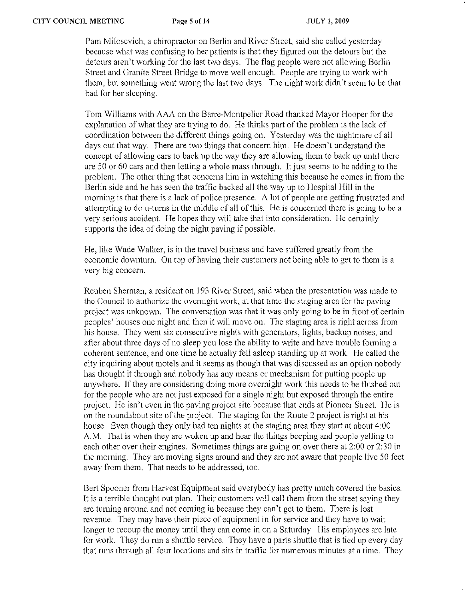Pam Milosevich, a chiropractor on Berlin and River Street, said she called yesterday because what was confusing to her patients is that they figured out the detours but the detours aren't working for the last two days. The flag people were not allowing Berlin Street and Granite Street Bridge to move well enough. People are trying to work with them, but something went wrong the last two days. The night work didn't seem to be that bad for her sleeping.

Tom Williams with AAA on the Barre-Montpelier Road thanked Mayor Hooper for the explanation of what they are trying to do. He thinks part of the problem is the lack of coordination between the different things going on. Yesterday was the nightmare of all days out that way. There are two things that concern him. He doesn't understand the concept of allowing cars to back up the way they are allowing them to back up until there are 50 or 60 cars and then letting a whole mass through. It just seems to be adding to the problem. The other thing that concerns him in watching this because he comes in from the Berlin side and he has seen the traffic backed all the way up to Hospital Hill in the morning is that there is a lack of police presence. A lot of people are getting frustrated and attempting to do u-turns in the middle of all of this. He is concerned there is going to be a very serious accident. He hopes they will take that into consideration. He certainly supports the idea of doing the night paving if possible.

He, like Wade Walker, is in the travel business and have suffered greatly from the economic downturn. On top of having their customers not being able to get to them is a very big concern.

Reuben Shennan, a resident on 193 River Street, said when the presentation was made to the Council to authorize the overnight work, at that time the staging area for the paving project was unknown. The conversation was that it was only going to be in front of certain peoples' houses one night and then it will move on. The staging area is right across from his house. They went six consecutive nights with generators, lights, backup noises, and after about three days of no sleep you lose the ability to writc and have trouble forming a coherent sentence, and one time he actually fell asleep standing up at work. He called the city inquiring about motels and it seems as though that was discussed as an option nobody has thought it through and nobody has any means or mechanism for putting people up anywhere. If they are considering doing more overnight work this needs to be flushed out for the people who are not just exposed for a single night but exposed through the entire project. He isn't even in the paving project site because that ends at Pioneer Street. He is on the roundabout site of the project. The staging for the Route 2 project is right at his house. Even though they only had ten nights at the staging area they start at about 4:00 A.M. That is when they are woken up and hear the things beeping and people yelling to each other over their engines. Sometimes things are going on over there at 2:00 or 2:30 in the morning. They are moving signs around and they are not aware that people live 50 feet away from them. That needs to be addressed, too.

Bert Spooner from Harvest Equipment said everybody has pretty much covered the basics. It is a terrible thought out plan. Their customers will call them from the street saying they are turning around and not coming in because they can't get to them. There is lost revenue. They may have their piece of equipment in for service and they have to wait longer to recoup the money until they can come in on a Saturday. His employees are late for work. They do run a shuttle service. They have a parts shuttle that is tied up every day that runs through all four locations and sits in traffic for numerous minutes at a time. They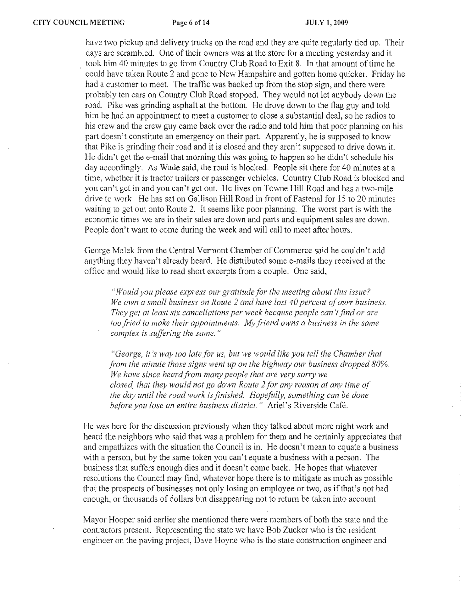have two pickup and delivery trucks on the road and they are quite regularly tied up. Their days are scrambled. One of their owners was at the store for a meeting yesterday and it took him 40 minutes to go from Country Club Road to Exit 8. In that amount of time he could have taken Route 2 and gone to New Hampshire and gotten home quicker. Friday he had a customer to meet. The traffic was backed up from the stop sign, and there were probably ten cars on Country Club Road stopped. They would not let anybody down the road. Pike was grinding asphalt at the bottom. He drove down to the flag guy and told him he had an appointment to meet a customer to close a substantial deal, so he radios to his crew and the crew guy came back over the radio and told him that poor planning on his part doesn't constitute an emergency on their part. Apparently, he is supposed to know that Pike is grinding their road and it is closed and they aren't supposed to drive down it. He didn't get the e-mail that morning this was going to happen so he didn't schedule his day accordingly. As Wade said, the road is blocked. People sit there for 40 minutes at a time, whether it is tractor trailers or passenger vehicles. Country Club Road is blocked and you can't get in and you can't get out. He lives on Towne Hill Road and has a two-mile drive to work. He has sat on Gallison Hill Road in front of Fastenal for 15 to 20 minutes waiting to get out onto Route 2. It seems like poor planning. The worst part is with the economic times we are in their sales are down and parts and equipment sales are down. People don't want to come during the week and will call to meet after hours.

George Malek from the Central Vermont Chamber of Commerce said he couldn't add anything they haven't already heard. He distributed some e-mails they received at the office and would like to read short excerpts from a couple. One said,

"Would you please express our gratitude for the meeting about this issue? *We own a small business on Route* 2 *and have iost* 40 *percent o/,ourr business. They get at least six cancellations per week because people can't find or are loo fried to make their appointments. My friend owns a business in the same complex is suffering the same. "* 

*"George, it's way too late for us, but we would like you tell the Chamber that Fom the minute those signs went up on the highway our business dropped 80%.*  We have since heard from many people that are very sorry we *closed, thai they would not go down Route* 2 *for any reason at any time o/' the day until the road work is finished. Hopefully, something can be done before you lose an entire business district."* Ariel's Riverside Cafe.

He was here for the discussion previously when they talked about more night work and heard the neighbors who said that was a problem for them and he certainly appreciates that and empathizes with the situation the Council is in. He doesn't mean to equate a business with a person, but by the same token you can't equate a business with a person. The business that suffers enough dies and it doesn't come back. He hopes that whatever resolutions the Council may find, whatever hope there is to mitigate as much as possible that the prospects of businesses not only losing an employee or two, as ifthat's not bad enough, or thousands of dollars but disappearing not to return be taken into account.

Mayor Hooper said earlier she mentioned there were members of both the state and the contractors present. Representing the state we have Bob Zucker who is the resident engineer on the paving project, Dave Hoyne who is the state construction engineer and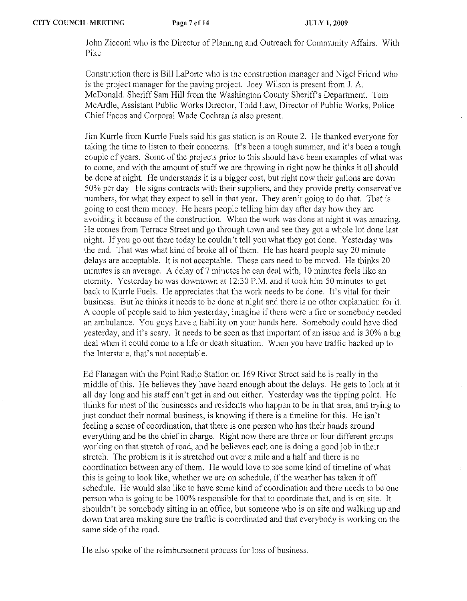John Zicconi who is the Director of Planning and Outrcach for Community Affairs. With Pike

Construction therc is Bill LaPorte who is the construction manager and Nigel Fricnd who is the project manager for the paving project. Jocy Wilson is present from J. A. McDonald. Sheriff Sam Hill from the Washington County Sheriff's Department. Tom McArdle, Assistant Public Works Director, Todd Law, Director of Public Works, Police Chief Facos and Corporal Wade Cochran is also present.

Jim Kurrle from Kurrle Fuels said his gas station is on Route 2. He thanked everyone for taking the time to listen to their concerns. It's been a tough summer, and it's been a tough couple of years. Some of the projects prior to this should have been examples of what was to come, and with the amount of stuff we are throwing in right now he thinks it all should be done at night. He understands it is a bigger cost, but right now their gallons are down 50% per day. Hc signs contracts with their suppliers, and they provide pretty conservative numbers, for what they expect to sell in that year. They aren't going to do that. That is going to cost them money. He hears people telling him day after day how they are avoiding it because of the construction. When the work was done at night it was amazing. He comes from Terrace Street and go through town and see they got a whole lot done last night. If you go out there today he couldn't tell you what they got done. Yesterday was the end. That was what kind of broke all of them. He has heard people say 20 minute delays arc acceptable. It is not acceptable. These cars need to be moved. He thinks 20 minutes is an average. A delay of 7 minutes he can deal with, 10 minutes feels like an eternity. Yesterday he was downtown at 12:30 P.M. and it took him 50 minutes to get back to Kurrle Fuels. He appreciates that the work needs to be done. It's vital for their business. But he thinks it needs to be done at night and there is no other explanation for it. A couple of people said to him yesterday, imagine if there were a fire or somebody needed an ambulance. You guys have a liability on your hands here. Somebody could have died yesterday, and it's scary. It needs to be seen as that important of an issue and is 30% a big deal when it could come to a life or death situation. When you have traffic backed up to the Interstate, that's not acceptable.

Ed Flanagan with the Point Radio Station on 169 River Street said he is really in the middle of this. He believes they have heard enough about the delays. He gets to look at it all day long and his staff can't get in and out either. Yesterday was the tipping point. He thinks for most of the businesses and residents who happen to be in that area, and trying to just conduct their normal business, is knowing if there is a timeline for this. He isn't feeling a sense of coordination, that there is one person who has their hands around everything and be the chief in charge. Right now there are three or four different groups working on that stretch of road, and he believes each one is doing a good job in their stretch. The problem is it is stretched out over a mile and a half and there is no coordination between any of them. He would love to see some kind of timeline of what this is going to look like, whether we are on schedule, if the weather has taken it off schedule. He would also like to have some kind of coordination and there needs to be one person who is going to be 100% responsible for that to coordinate that, and is on site. It shouldn't be somebody sitting in an office, but someone who is on site and walking up and down that area making sure the traffic is coordinated and that everybody is working on the same side of the road.

He also spoke of the reimbursement process for loss of business.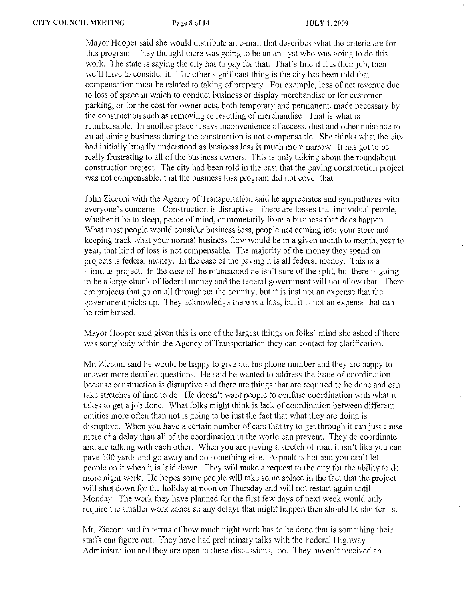Mayor Hooper said she would distribute an e-mail that describes what the criteria are for this program. They thought there was going to be an analyst who was going to do this work. The state is saying the city has to pay for that. That's fine if it is their job, then we'll have to consider it. The other significant thing is the city has been told that compensation must be related to taking of property. For example, loss of net revenue due to loss of space in which to conduct business or display merchandise or for customer parking, or for the cost for owner acts, both temporary and permanent, made necessary by the construction such as removing or resetting of merchandise. That is what is reimbursable. In another place it says inconvenience of access, dust and other nuisance to an adjoining business during the construction is not compensable. She thinks what the city had initially broadly understood as business loss is much more narrow. It has got to be really frustrating to all of the business owners. This is only talking about the roundabout construction project. The city had been told in the past that the paving construction project was not compensable, that the business loss program did not cover that.

John Zicconi with the Agency of Transportation said he appreciatcs and sympathizes with everyone's concerns. Construction is disruptive. There are losses that individual people, whether it be to sleep, peace of mind, or monetarily from a business that does happen. What most people would consider business loss, people not coming into your store and keeping track what your normal business flow would be in a given month to month, year to year, that kind of loss is not compensable. The majority of the money they spend on projects is federal money. In the case of the paving it is all federal money. This is a stimulus project. In the case of the roundabout he isn't sure of the split, but there is going to be a large chunk of federal money and the federal government will not allow that. There are projects that go on all throughout the country, but it is just not an expense that the government picks up. They acknowledge there is a loss, but it is not an expense that can be reimbursed.

Mayor Hooper said given this is one of the largest things on folks' mind she asked if there was somebody within the Agency of Transportation they can contact for clarification.

Mr. Zicconi said he would be happy to give out his phone number and they are happy to answer more detailed questions. He said he wanted to address the issue of coordination because construction is disruptive and there are things that are requircd to be done and can take stretches of time to do. He doesn't want peoplc to confuse coordination with what it takes to get a job done. What folks might think is lack of coordination betwecn different entities more often than not is going to be just the fact that what they are doing is disruptive. When you have a certain number of cars that try to get through it can just cause more of a delay than all of the coordination in the world can prevent. They do coordinate and are talking with each other. When you are paving a stretch of road it isn't like you can pave 100 yards and go away and do something else. Asphalt is hot and you can't let people on it when it is laid down. They will make a request to the city for the ability to do more night work. He hopes some people will take some solace in the fact that the project will shut down for the holiday at noon on Thursday and will not restart again until Monday. The work they have planned for the first few days of next week would only require the smaller work zones so any delays that might happen then should be shorter. s.

Mr. Zicconi said in terms of how much night work has to be done that is something their staffs can figure out. They have had preliminary talks with the Federal Highway Administration and they are open to these discussions, too. They haven't received an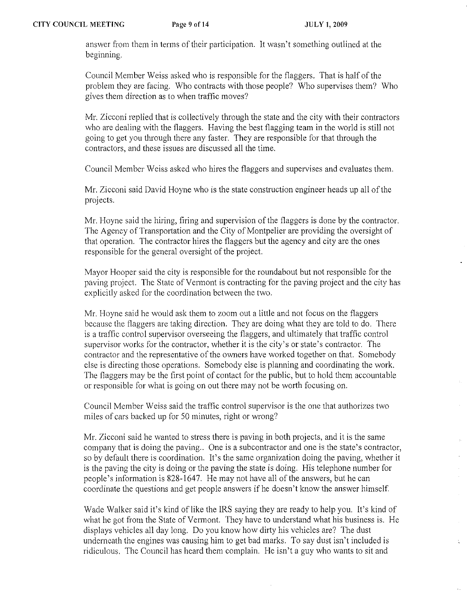$\gamma$  .

 $\mathcal{A}^{\pm}$  $\hat{\boldsymbol{\alpha}}$ 

answer from them in terms of their participation. It wasn't something outlined at the beginning.

Council Member Weiss asked who is responsible for the flaggers. That is half of the problem they are facing. Who contracts with those people? Who supervises them? Who gives them direction as to when traffic moves?

Mr. Zicconi replied that is collectively through the state and the city with their contractors who are dealing with the flaggers. Having the best flagging team in the world is still not going to get you through there any faster. They are responsible for that through the contractors, and these issues are discussed all the time.

Council Member Weiss asked who hires the flaggers and supervises and evaluates them.

Mr. Zicconi said David Hoyne who is the state construction engineer heads up all of the projects.

Mr. Hoyne said the hiring, firing and supervision of the flaggers is done by the contractor. The Agency of Transportation and the City of Montpelier are providing the oversight of that operation. The contractor hires the flaggers but the agency and city are the ones responsible for the general oversight of the project.

Mayor Hooper said the city is responsible for the roundabout but not responsible for the paving project. The Statc of Vermont is contracting for the paving project and the city has explicitly asked for the coordination between the two.

Mr. Hoyne said he would ask them to zoom out a little and not focus on the flaggers because the flaggers are taking direction. They are doing what they are told to do. There is a traffic control supervisor overseeing the flaggers, and ultimately that traffic control supervisor works for the contractor, whether it is the city's or state's contractor. The contractor and the representative of the owners have worked together on that. Somebody elsc is directing those operations. Somebody else is planning and coordinating the work, The flaggers may be the first point of contact for the public, but to hold them accountable or responsible for what is going on out there may not be worth focusing on.

Council Member Weiss said the traffic control supervisor is the one that authorizes two miles of cars backed up for 50 minutes, right or wrong?

Mr. Zicconi said he wanted to stress there is paving in both projects, and it is the same company that is doing the paving.. One is a subcontractor and one is the state's contractor, so by default there is coordination, It's the same organization doing the paving, whether it is the paving the city is doing or the paving the state is doing, His telephone number for people's information is 828-1647. He may not have all of the answers, but he can coordinate the questions and get people answers if he doesn't know the answer himself.

Wade Walker said it's kind of like the IRS saying they are ready to help you. It's kind of what he got from the State of Vermont. They have to understand what his business is. He displays vehicles all day long. Do you know how dirty his vehicles are? The dust underneath the engines was causing him to get bad marks. To say dust isn't included is ridiculous. The Council has heard them complain. He isn't a guy who wants to sit and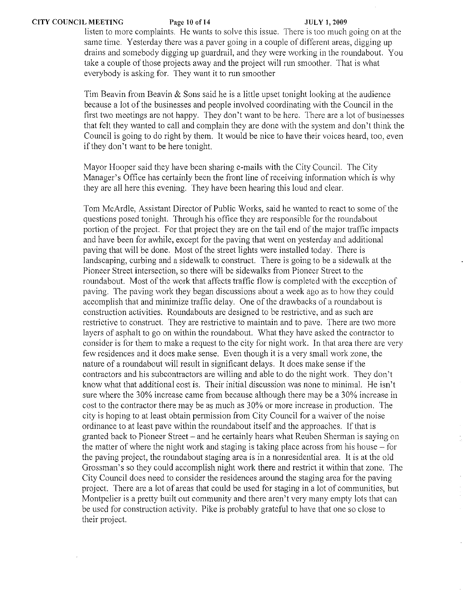listen to more complaints. He wants to solve this issue. There is too much going on at the same time. Yesterday there was a paver going in a eouple of different areas, digging up drains and somebody digging up guardrail, and they were working in the roundabout. You take a couple of those projects away and the project will run smoother. That is what everybody is asking for. They want it to run smoother

Tim Beavin from Beavin & Sons said he is a little upset tonight looking at the audience because a lot of the businesses and people involved coordinating with the Council in the first two meetings are not happy. They don't want to be here. There are a lot of businesses that felt they wanted to call and complain they are done with the system and don't think the Council is going to do right by them. It would be nice to have their voices heard, too, even if they don't want to be here tonight.

Mayor Hooper said they have been sharing e-mails with the City Council. The City Manager's Office has certainly been the front line of receiving information which is why they are all here this evening. They have been hearing this loud and clear.

Tom McArdle, Assistant Director of Public Works, said he wanted to react to some of the questions posed tonight. Through his office they arc responsible for the roundabout portion of the project. For that project they are on the tail end of the major traffic impacts and have been for awhile, except for the paving that went on yesterday and additional paving that will be done. Most of the street lights were installed today. There is landscaping, curbing and a sidewalk to construct. There is going to be a sidewalk at the Pioneer Street intersection, so there will be sidewalks from Pioneer Street to the roundabout. Most of the work that affects traffic flow is completed with the exception of paving. The paving work they began discussions about a week ago as to how they could accomplish that and minimize traffic deiay. One of the drawbacks of a roundabout is construction activities. Roundabouts are designed to be restrictive, and as such arc restrictive to construct. They are restrictive to maintain and to pave. There are two more layers of asphalt to go on within the roundabout. What they have asked the contractor to consider is for them to make a request to the city for night work. In that area there are very few residences and it does make sense. Even though it is a very small work zone, the nature of a roundabout will result in significant delays. It does make sense if the contractors and his subcontractors are willing and able to do the night work. They don't know what that additional cost is. Their initial discussion was none to minimal. He isn't sure where the 30% increase came from because although there may be a 30% increase in cost to the contractor there may be as much as 30% or more increase in production. The city is hoping to at least obtain permission from City Council for a waiver of the noise ordinance to at least pave within the roundabout itself and the approaches. If that is granted back to Pioneer Street - and he certainly hears what Reuben Sherman is saying on the matter of where the night work and staging is taking place across from his house  $-$  for the paving project, the roundabout staging area is in a nonresidential area. It is at the old Grossman's so they could accomplish night work there and restrict it within that zone. The City Council does need to consider the residences around the staging area for the paving project. There are a lot of areas that could be used for staging in a lot of communities, but Montpelier is a pretty built out community and there aren't very many empty lots that can be used for construction activity. Pike is probably grateful to have that one so close to their project.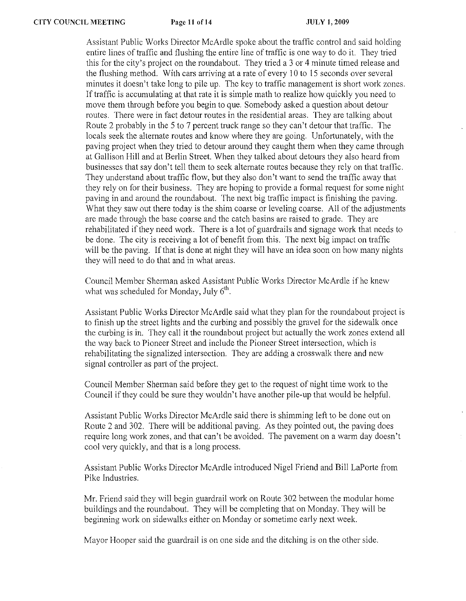Assistant Public Works Director McArdle spoke about the traffic control and said holding entire lines of traffic and flushing the entire line of traffic is one way to do it. They tried this for the city's project on the roundabout. They tried a 3 or 4 minute timed release and the flushing method. With cars arriving at a rate of every 10 to 15 seconds over several minutes it doesn't take long to pile up. The key to traffic management is short work zones. If traffic is accumulating at that rate it is simple math to realize how quickly you need to move them through before you begin to que. Somebody asked a question about detour routes. There were in fact detour routes in the residential areas. They are talking about Route 2 probably in the 5 to 7 percent truck range so they can't detour that traffic. The locals seek the alternate routes and know where they are going. Unfortunately, with the paving project when they tried to detour around they caught them when they came through at Gallison Hill and at Berlin Street. When they talked about detours they also heard from businesses that say don't tell them to seek alternate routes because they rely on that traffic. They understand about traffic flow, but they also don't want to send the traffic away that they rely on for their business. They are hoping to provide a formal request for some night paving in and around the roundabout. The next big traffic impact is finishing the paving. What they saw out there today is the shim coarse or leveling coarse. All of the adjustments are made through the base coarse and the catch basins are raised to grade. They are rehabilitated if they need work. There is a lot of guardrails and signage work that needs to be done. The city is receiving a lot of benefit from this. The next big impact on traffic will be the paving. If that is done at night they will have an idea soon on how many nights they will need to do that and in what areas.

Council Member Sherman asked Assistant Public Works Director McArdle if he knew what was scheduled for Monday, July  $6<sup>th</sup>$ ,

Assistant Public Works Director McArdle said what they plan for the roundabout project is to finish up the street lights and the curbing and possibly the gravel for the sidewalk once the curbing is in. They call it the roundabout project but actually the work zones extend all the way back to Pioneer Street and include the Pioneer Street intersection, which is rehabilitating the signalized intersection. They are adding a crosswalk there and new signal controller as part of the project.

Council Member Sherman said before they get to the request of night time work to the Council if they could be sure they wouldn't have another pile-up that would be helpful.

Assistant Public Works Director McArdle said there is shimming left to be done out on Route 2 and 302. There will be additional paving. As they pointed out, the paving does require long work zones, and that can't be avoided. The pavement on a warm day doesn't cool very quickly, and that is a long process.

Assistant Public Works Director McArdle introduced Nigel Friend and Bill LaPorte from Pike Industries.

Mr. Friend said they will begin guardrail work on Route 302 between the modular home buildings and the roundabout. They will be completing that on Monday. They will be beginning work on sidewalks either on Monday or sometime early next week.

Mayor Hooper said the guardrail is on one side and the ditching is on the other side.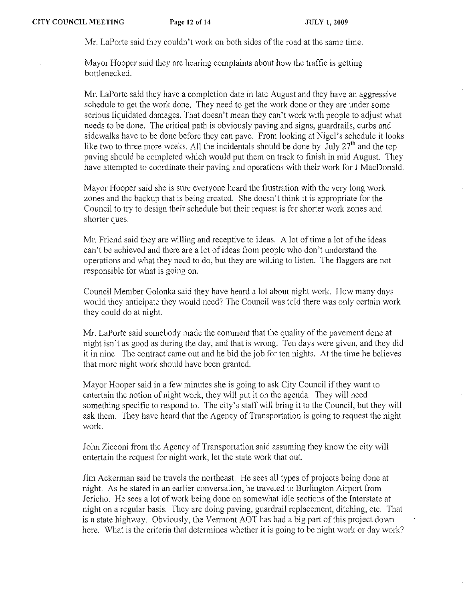Mr. LaPorte said they couldn't work on both sides of the road at the same time.

Mayor Hooper said they are hearing complaints about how the traffic is getting bottleneeked.

Mr. LaPorte said they have a completion date in late August and they have an aggressive schedule to get the work done. They need to get the work done or they are under some serious liquidated damages. That doesn't mean they can't work with people to adjust what needs to be done. The critical path is obviously paving and signs, guardrails, curbs and sidewalks have to be done before they can pave. From looking at Nigel's schedule it looks like two to three more weeks. All the incidentals should be done by  $\text{July } 27^{\text{th}}$  and the top paving should be completed which would put them on track to finish in mid August. They have attempted to coordinate their paving and operations with their work for J MacDonald.

Mayor Hooper said she is sure everyone heard the frustration with the very long work zones and the backup that is being created. She doesn't think it is appropriate for the Council to try to design their schedule but their request is for shorter work zones and shorter gues.

Mr. Friend said they are willing and receptive to ideas. A lot of time a lot of the ideas can't be achieved and there are a lot of ideas from people who don't understand the operations and what they need to do, but they are willing to listen. The Daggers are not responsible for what is going on.

Council Member Golonka said they have heard a lot about night work. How many days would they anticipate they would need? The Council was told there was only certain work they could do at night.

Mr. LaPorte said somebody made the comment that the quality of the pavement done at night isn't as good as during the day, and that is wrong. Ten days were given, and they did it in nine. The contract came out and he bid the job for ten nights. At the time he believes that more night work should have been granted.

Mayor Hooper said in a few minutes she is going to ask City Council if they want to entertain the notion of night work, they will put it on the agenda. They will need something specific to respond to. The city's staff will bring it to the Council, but they will ask them. They have heard that the Agency of Transportation is going to request the night work.

John Zicconi from the Agency of Transportation said assuming they know the city will entertain the request for night work, let the state work that out.

Jim Ackerman said he travels the northeast. He sees all types of projects being done at night. As he stated in an earlier conversation, he traveled to Burlington Airport from Jericho. He sees a lot of work being done on somewhat idle sections of the Interstate at night on a regular basis. They are doing paving, guardrail replacement, ditching, etc. That is a state highway. Obviously, the Vermont AOT has had a big part of this project down here. What is the criteria that determines whether it is going to be night work or day work?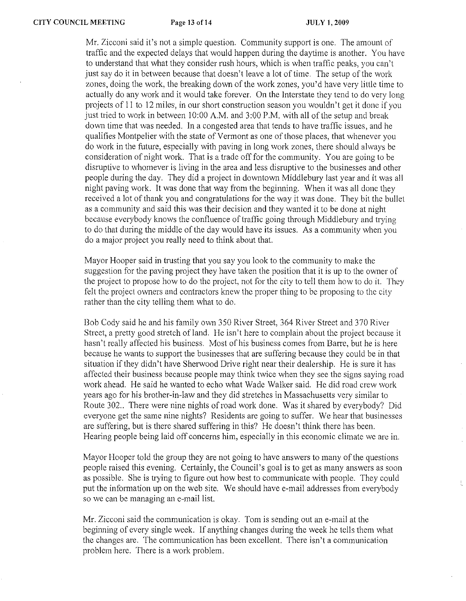Mr. Zicconi said it's not a simple question. Community support is onc. The amount of traffic and thc expected delays that would happen during the daytime is another. You have to understand that what they consider rush hours, which is when traffic peaks, you can't just say do it in between because that doesn't leave a lot of time. The setup of the work zones, doing the work, the breaking down of the work zones, you'd have very little time to actually do any work and it would take forever. On the Interstate they tend to do very long projects of II to 12 miles, in our short construction season you wouldn't get it done if you just tried to work in between 10:00 A.M. and 3:00 P.M. with all of the setup and break down time that was needed. In a congested area that tends to have traffic issues, and he qualifies Montpelier with the state of Vermont as one of those places, that whenever you do work in the future, especially with paving in long work zones, there should always be consideration of night work. That is a trade off for the community. You are going to be disruptive to whomever is living in the area and less disruptive to the businesses and other people during the day. They did a project in downtown Middlebury last year and it was all night paving work. It was done that way from the beginning. When it was all done they received a lot of thank you and congratulations for the way it was done. They bit the bullet as a community and said this was their decision and they wanted it to be done at night because everybody knows the confluence of traffic going through Middlebury and trying to do that during the middle of the day would have its issues. As a community when you do a major project you really need to think about that.

Mayor Hooper said in trusting that you say you look to the community to make the suggestion for the paving project they have taken the position that it is up to the owner of the project to propose how to do the project, not for the eity to tell them how to do it. They felt the project owners and contractors knew the proper thing to be proposing to the city rather than the city telling them what to do.

Bob Cody said he and his family own 350 River Street, 364 River Street and 370 River Street, a pretty good stretch of land. He isn't here to complain about the project because it hasn't really affected his business. Most of his business comes from Barre, but he is here because he wants to support the businesses that are suffering because they could be in that situation if they didn't have Sherwood Drive right near their dealership. He is sure it has affected their business because people may think twice when they see the signs saying road work ahead. He said he wanted to echo what Wade Walker said. He did road erew work years ago for his brother-in-law and they did stretches in Massachusetts very similar to Route 302.. There were nine nights of road work done. Was it shared by everybody? Did everyone get the same nine nights? Residents are going to suffer. We hear that businesses are suffering, but is there shared suffering in this? He doesn't think there has been. Hearing people being laid off concerns him, especially in this economic climate we are in.

Mayor Hooper told the group they are not going to have answers to many of the questions people raised this evening. Certainly, the Council's goal is to get as many answers as soon as possible. She is trying to figure out how best to communicate with people. They could put the information up on the web site. We should have e-mail addresses from everybody so we can be managing an e-mail list.

Mr. Zicconi said the communication is okay. Tom is scnding out an e-mail at thc beginning of every single week. If anything changes during the week he tells them what the changes arc. The communication has been excellent. There isn't a communication problem here. There is a work problem.